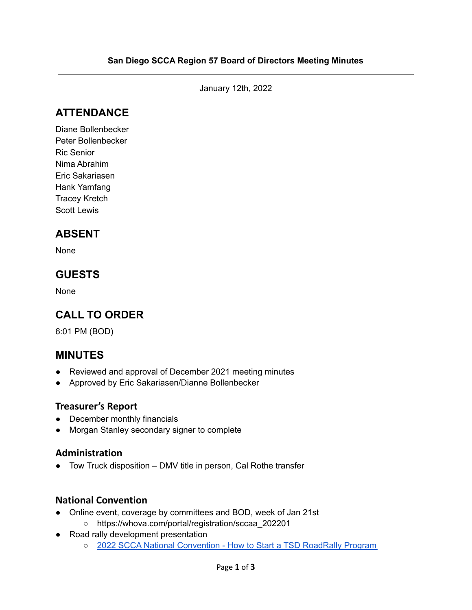January 12th, 2022

# **ATTENDANCE**

Diane Bollenbecker Peter Bollenbecker Ric Senior Nima Abrahim Eric Sakariasen Hank Yamfang Tracey Kretch Scott Lewis

# **ABSENT**

None

# **GUESTS**

None

# **CALL TO ORDER**

6:01 PM (BOD)

### **MINUTES**

- Reviewed and approval of December 2021 meeting minutes
- Approved by Eric Sakariasen/Dianne Bollenbecker

#### **Treasurer's Report**

- December monthly financials
- Morgan Stanley secondary signer to complete

#### **Administration**

● Tow Truck disposition – DMV title in person, Cal Rothe transfer

#### **National Convention**

- Online event, coverage by committees and BOD, week of Jan 21st
	- [https://whova.com/portal/registration/sccaa\\_202201](https://whova.com/portal/registration/sccaa_202201/)
- Road rally development presentation
	- 2022 SCCA National [Convention](https://docs.google.com/presentation/d/e/2PACX-1vRBKl2KbNBCAUMs0ypyzPsYY7geaUgn5BpNf5DS91_lAn2iXIZQxgnAOcWUj0QblBlHRhUrsDRmQnlg/pub?start=false&loop=false&delayms=3000) How to Start a TSD RoadRally Program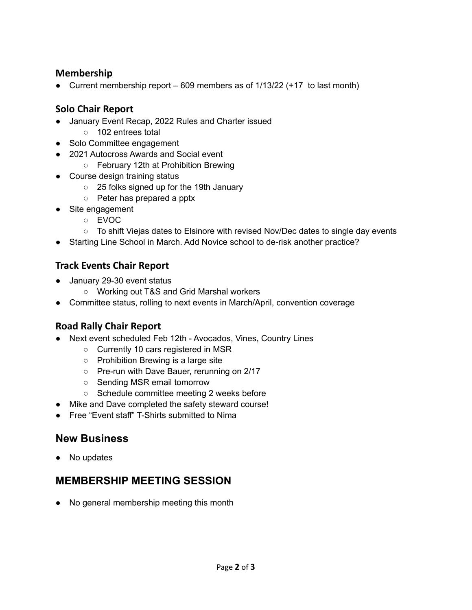#### **Membership**

• Current membership report  $-609$  members as of  $1/13/22$  (+17 to last month)

### **Solo Chair Report**

- January Event Recap, 2022 Rules and Charter issued
	- 102 entrees total
- Solo Committee engagement
- 2021 Autocross Awards and Social event
	- February 12th at Prohibition Brewing
- Course design training status
	- 25 folks signed up for the 19th January
	- Peter has prepared a pptx
- Site engagement
	- EVOC
	- To shift Viejas dates to Elsinore with revised Nov/Dec dates to single day events
- Starting Line School in March. Add Novice school to de-risk another practice?

### **Track Events Chair Report**

- January 29-30 event status
	- Working out T&S and Grid Marshal workers
- Committee status, rolling to next events in March/April, convention coverage

### **Road Rally Chair Report**

- Next event scheduled Feb 12th Avocados, Vines, Country Lines
	- Currently 10 cars registered in MSR
	- Prohibition Brewing is a large site
	- Pre-run with Dave Bauer, rerunning on 2/17
	- Sending MSR email tomorrow
	- Schedule committee meeting 2 weeks before
- Mike and Dave completed the safety steward course!
- Free "Event staff" T-Shirts submitted to Nima

### **New Business**

No updates

# **MEMBERSHIP MEETING SESSION**

● No general membership meeting this month